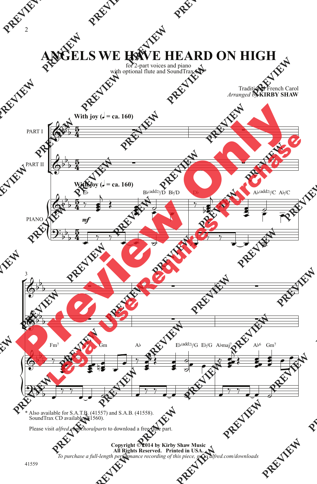## **ANGELS WE HAVE HEARD ON HIGH**

for 2-part voices and piano with optional flute and SoundTrax CD\*

> Traditional French Carol *Arranged by* **KIRBY SHAW**



\* Also available for S.A.T.B. (41557) and S.A.B. (41558). SoundTrax CD available  $(41560)$ .

Please visit *alfred.com/choralparts* to download a free flute part.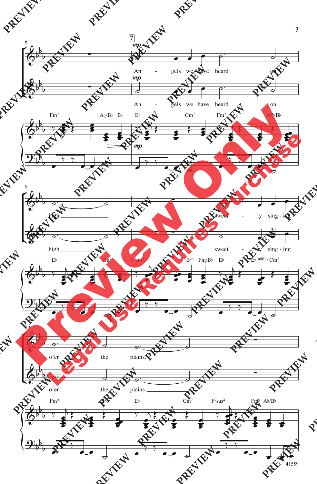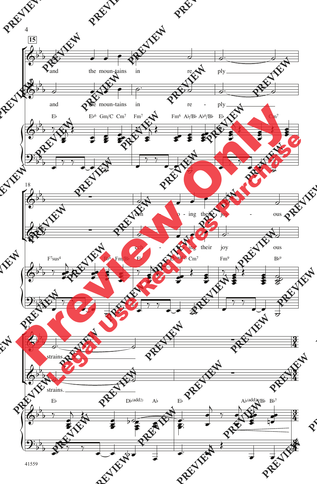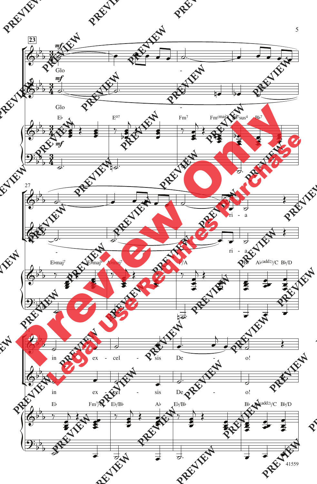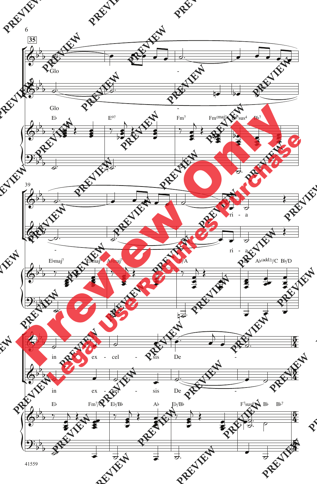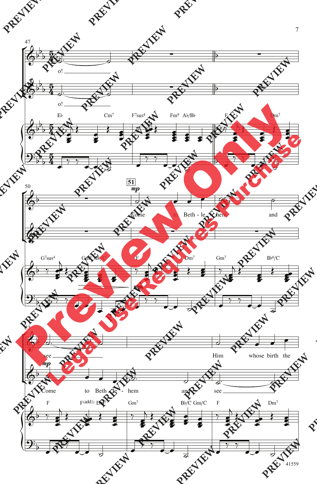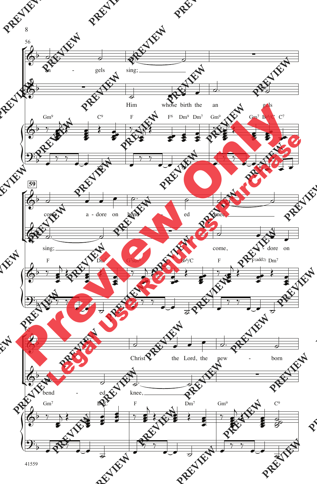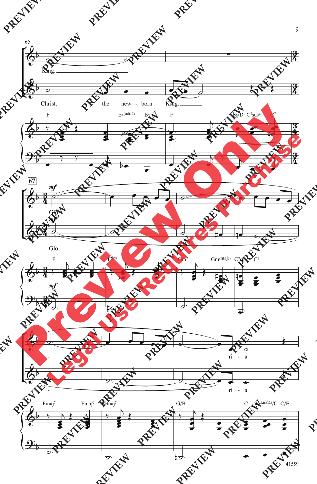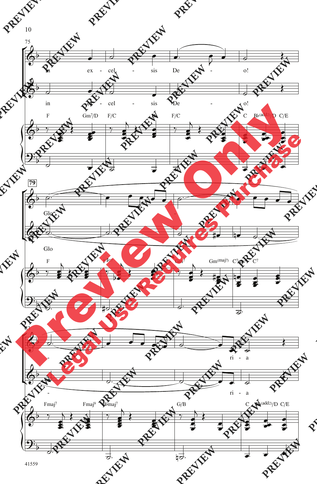